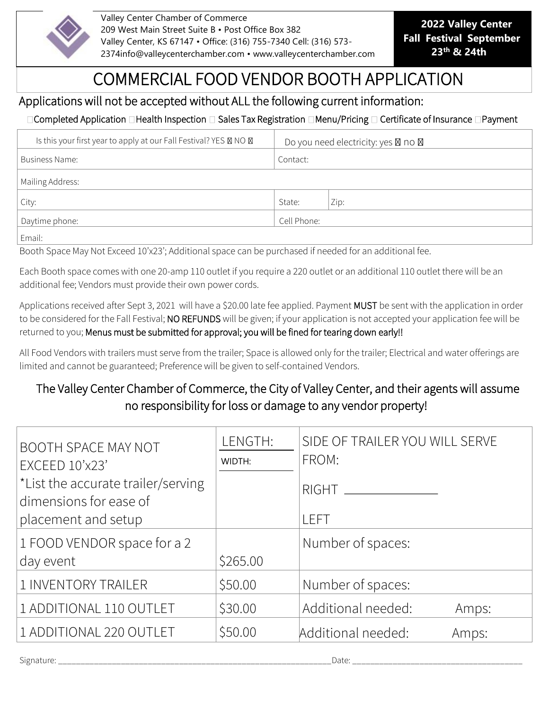

Valley Center Chamber of Commerce 209 West Main Street Suite B • Post Office Box 382 Valley Center, KS 67147 • Office: (316) 755-7340 Cell: (316) 573- 2374info@valleycenterchamber.com • www.valleycenterchamber.com

**2022 Valley Center Fall Festival September 23<sup>th</sup> & 24th** 

## COMMERCIAL FOOD VENDOR BOOTH APPLICATION

## Applications will not be accepted without ALL the following current information:

## □Completed Application □Health Inspection □ Sales Tax Registration □Menu/Pricing □ Certificate of Insurance □Payment

| Is this your first year to apply at our Fall Festival? YES X NO X | Do you need electricity: yes $\boxtimes$ no $\boxtimes$ |      |  |  |
|-------------------------------------------------------------------|---------------------------------------------------------|------|--|--|
| Business Name:                                                    | Contact:                                                |      |  |  |
| Mailing Address:                                                  |                                                         |      |  |  |
| City:                                                             | State:                                                  | Zip: |  |  |
| Daytime phone:                                                    | Cell Phone:                                             |      |  |  |
| Email:                                                            |                                                         |      |  |  |

Booth Space May Not Exceed 10'x23'; Additional space can be purchased if needed for an additional fee.

Each Booth space comes with one 20-amp 110 outlet if you require a 220 outlet or an additional 110 outlet there will be an additional fee; Vendors must provide their own power cords.

Applications received after Sept 3, 2021 will have a \$20.00 late fee applied. Payment MUST be sent with the application in order to be considered for the Fall Festival; NO REFUNDS will be given; if your application is not accepted your application fee will be returned to you; Menus must be submitted for approval; you will be fined for tearing down early!!

All Food Vendors with trailers must serve from the trailer; Space is allowed only for the trailer; Electrical and water offerings are limited and cannot be guaranteed; Preference will be given to self-contained Vendors.

## The Valley Center Chamber of Commerce, the City of Valley Center, and their agents will assume no responsibility for loss or damage to any vendor property!

| <b>BOOTH SPACE MAY NOT</b><br>EXCEED 10'x23'                 | LENGTH:<br>WIDTH: | SIDE OF TRAILER YOU WILL SERVE<br>FROM: |
|--------------------------------------------------------------|-------------------|-----------------------------------------|
| *List the accurate trailer/serving<br>dimensions for ease of |                   | $RIGHT$ ___                             |
| placement and setup                                          |                   | LEFT                                    |
| 1 FOOD VENDOR space for a 2                                  |                   | Number of spaces:                       |
| day event                                                    | \$265.00          |                                         |
| 1 INVENTORY TRAILER                                          | \$50.00           | Number of spaces:                       |
| 1 ADDITIONAL 110 OUTLET                                      | \$30.00           | Additional needed:<br>Amps:             |
| 1 ADDITIONAL 220 OUTLET                                      | \$50.00           | Additional needed:<br>Amps:             |

Signature: \_\_\_\_\_\_\_\_\_\_\_\_\_\_\_\_\_\_\_\_\_\_\_\_\_\_\_\_\_\_\_\_\_\_\_\_\_\_\_\_\_\_\_\_\_\_\_\_\_\_\_\_\_\_\_\_\_\_\_\_\_Date: \_\_\_\_\_\_\_\_\_\_\_\_\_\_\_\_\_\_\_\_\_\_\_\_\_\_\_\_\_\_\_\_\_\_\_\_\_\_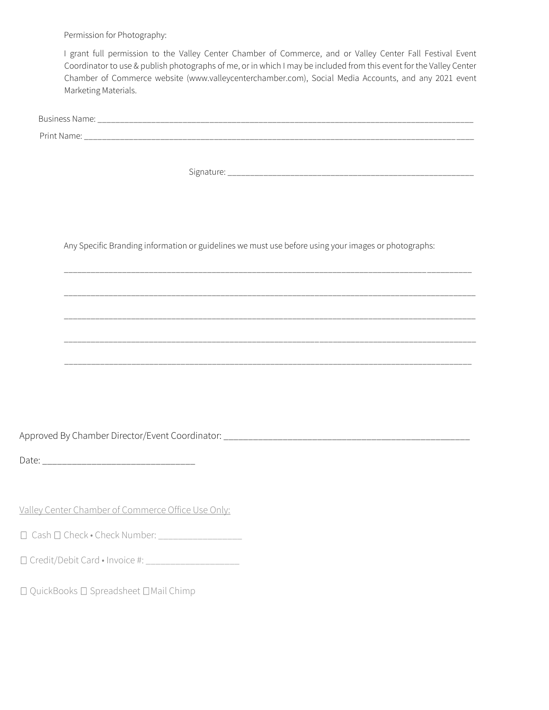Permission for Photography:

I grant full permission to the Valley Center Chamber of Commerce, and or Valley Center Fall Festival Event Coordinator to use & publish photographs of me, or in which I may be included from this event for the Valley Center Chamber of Commerce website (www.valleycenterchamber.com), Social Media Accounts, and any 2021 event Marketing Materials.

| <b>Business Name:</b> | ______ |  |  |
|-----------------------|--------|--|--|
| Print Name:<br>____   |        |  |  |

Signature: \_\_\_\_\_\_\_\_\_\_\_\_\_\_\_\_\_\_\_\_\_\_\_\_\_\_\_\_\_\_\_\_\_\_\_\_\_\_\_\_\_\_\_\_\_\_\_\_\_\_\_\_\_\_\_

Any Specific Branding information or guidelines we must use before using your images or photographs:

\_\_\_\_\_\_\_\_\_\_\_\_\_\_\_\_\_\_\_\_\_\_\_\_\_\_\_\_\_\_\_\_\_\_\_\_\_\_\_\_\_\_\_\_\_\_\_\_\_\_\_\_\_\_\_\_\_\_\_\_\_\_\_\_\_\_\_\_\_\_\_\_\_\_\_\_\_\_\_\_\_\_\_\_\_\_\_\_\_\_\_

\_\_\_\_\_\_\_\_\_\_\_\_\_\_\_\_\_\_\_\_\_\_\_\_\_\_\_\_\_\_\_\_\_\_\_\_\_\_\_\_\_\_\_\_\_\_\_\_\_\_\_\_\_\_\_\_\_\_\_\_\_\_\_\_\_\_\_\_\_\_\_\_\_\_\_\_\_\_\_\_\_\_\_\_\_\_\_\_\_\_\_\_

\_\_\_\_\_\_\_\_\_\_\_\_\_\_\_\_\_\_\_\_\_\_\_\_\_\_\_\_\_\_\_\_\_\_\_\_\_\_\_\_\_\_\_\_\_\_\_\_\_\_\_\_\_\_\_\_\_\_\_\_\_\_\_\_\_\_\_\_\_\_\_\_\_\_\_\_\_\_\_\_\_\_\_\_\_\_\_\_\_\_\_\_

\_\_\_\_\_\_\_\_\_\_\_\_\_\_\_\_\_\_\_\_\_\_\_\_\_\_\_\_\_\_\_\_\_\_\_\_\_\_\_\_\_\_\_\_\_\_\_\_\_\_\_\_\_\_\_\_\_\_\_\_\_\_\_\_\_\_\_\_\_\_\_\_\_\_\_\_\_\_\_\_\_\_\_\_\_\_\_\_\_\_\_

\_\_\_\_\_\_\_\_\_\_\_\_\_\_\_\_\_\_\_\_\_\_\_\_\_\_\_\_\_\_\_\_\_\_\_\_\_\_\_\_\_\_\_\_\_\_\_\_\_\_\_\_\_\_\_\_\_\_\_\_\_\_\_\_\_\_\_\_\_\_\_\_\_\_\_\_\_\_\_\_\_\_\_\_\_\_\_\_\_\_\_\_

Approved By Chamber Director/Event Coordinator: \_\_\_\_\_\_\_\_\_\_\_\_\_\_\_\_\_\_\_\_\_\_\_\_\_\_\_\_\_\_\_\_\_\_\_\_\_\_\_\_\_\_\_\_\_\_\_\_\_\_

Date: \_\_\_\_\_\_\_\_\_\_\_\_\_\_\_\_\_\_\_\_\_\_\_\_\_\_\_\_\_\_\_

Valley Center Chamber of Commerce Office Use Only:

Cash Check • Check Number: \_\_\_\_\_\_\_\_\_\_\_\_\_\_\_\_\_

Credit/Debit Card • Invoice #: \_\_\_\_\_\_\_\_\_\_\_\_\_\_\_\_\_\_\_

 $\square$  QuickBooks  $\square$  Spreadsheet  $\square$  Mail Chimp